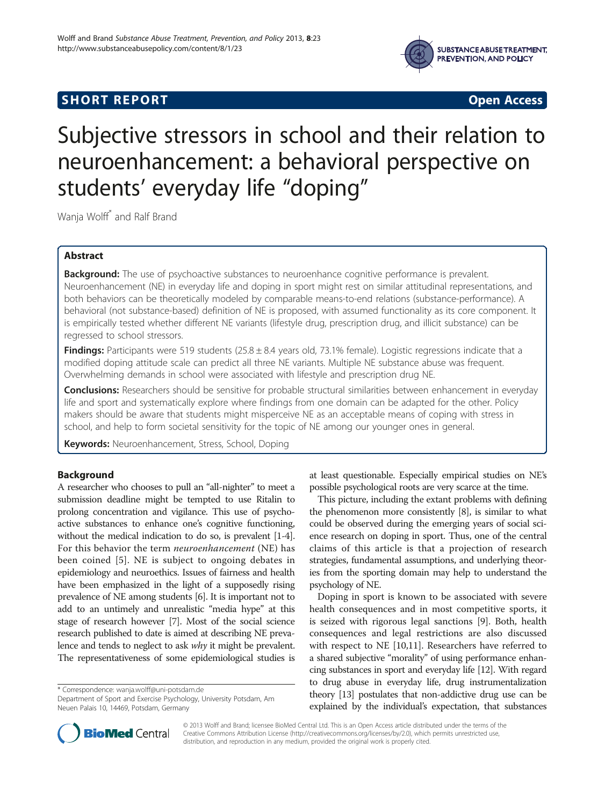# **SHORT REPORT SHORT CONSUMING ACCESS**



# Subjective stressors in school and their relation to neuroenhancement: a behavioral perspective on students' everyday life "doping"

Wanja Wolff\* and Ralf Brand

# Abstract

Background: The use of psychoactive substances to neuroenhance cognitive performance is prevalent. Neuroenhancement (NE) in everyday life and doping in sport might rest on similar attitudinal representations, and both behaviors can be theoretically modeled by comparable means-to-end relations (substance-performance). A behavioral (not substance-based) definition of NE is proposed, with assumed functionality as its core component. It is empirically tested whether different NE variants (lifestyle drug, prescription drug, and illicit substance) can be regressed to school stressors.

Findings: Participants were 519 students (25.8  $\pm$  8.4 years old, 73.1% female). Logistic regressions indicate that a modified doping attitude scale can predict all three NE variants. Multiple NE substance abuse was frequent. Overwhelming demands in school were associated with lifestyle and prescription drug NE.

Conclusions: Researchers should be sensitive for probable structural similarities between enhancement in everyday life and sport and systematically explore where findings from one domain can be adapted for the other. Policy makers should be aware that students might misperceive NE as an acceptable means of coping with stress in school, and help to form societal sensitivity for the topic of NE among our younger ones in general.

Keywords: Neuroenhancement, Stress, School, Doping

# Background

A researcher who chooses to pull an "all-nighter" to meet a submission deadline might be tempted to use Ritalin to prolong concentration and vigilance. This use of psychoactive substances to enhance one's cognitive functioning, without the medical indication to do so, is prevalent [[1](#page-4-0)-[4](#page-4-0)]. For this behavior the term neuroenhancement (NE) has been coined [[5\]](#page-4-0). NE is subject to ongoing debates in epidemiology and neuroethics. Issues of fairness and health have been emphasized in the light of a supposedly rising prevalence of NE among students [[6\]](#page-5-0). It is important not to add to an untimely and unrealistic "media hype" at this stage of research however [\[7](#page-5-0)]. Most of the social science research published to date is aimed at describing NE prevalence and tends to neglect to ask why it might be prevalent. The representativeness of some epidemiological studies is

\* Correspondence: [wanja.wolff@uni-potsdam.de](mailto:wanja.wolff@uni-potsdam.de)

Department of Sport and Exercise Psychology, University Potsdam, Am Neuen Palais 10, 14469, Potsdam, Germany



This picture, including the extant problems with defining the phenomenon more consistently [\[8](#page-5-0)], is similar to what could be observed during the emerging years of social science research on doping in sport. Thus, one of the central claims of this article is that a projection of research strategies, fundamental assumptions, and underlying theories from the sporting domain may help to understand the psychology of NE.

Doping in sport is known to be associated with severe health consequences and in most competitive sports, it is seized with rigorous legal sanctions [\[9\]](#page-5-0). Both, health consequences and legal restrictions are also discussed with respect to NE [\[10,11\]](#page-5-0). Researchers have referred to a shared subjective "morality" of using performance enhancing substances in sport and everyday life [\[12\]](#page-5-0). With regard to drug abuse in everyday life, drug instrumentalization theory [[13](#page-5-0)] postulates that non-addictive drug use can be explained by the individual's expectation, that substances



© 2013 Wolff and Brand; licensee BioMed Central Ltd. This is an Open Access article distributed under the terms of the Creative Commons Attribution License (<http://creativecommons.org/licenses/by/2.0>), which permits unrestricted use, distribution, and reproduction in any medium, provided the original work is properly cited.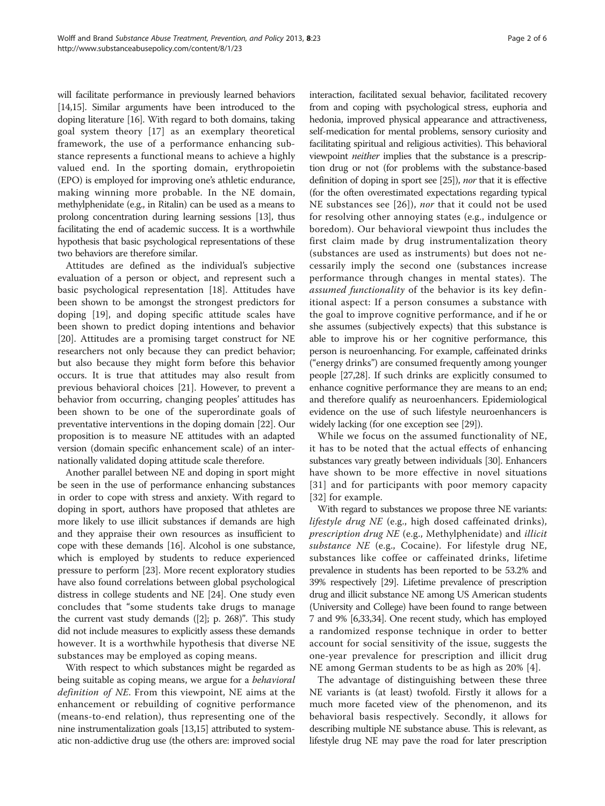will facilitate performance in previously learned behaviors [[14,15\]](#page-5-0). Similar arguments have been introduced to the doping literature [\[16](#page-5-0)]. With regard to both domains, taking goal system theory [[17](#page-5-0)] as an exemplary theoretical framework, the use of a performance enhancing substance represents a functional means to achieve a highly valued end. In the sporting domain, erythropoietin (EPO) is employed for improving one's athletic endurance, making winning more probable. In the NE domain, methylphenidate (e.g., in Ritalin) can be used as a means to prolong concentration during learning sessions [[13](#page-5-0)], thus facilitating the end of academic success. It is a worthwhile hypothesis that basic psychological representations of these two behaviors are therefore similar.

Attitudes are defined as the individual's subjective evaluation of a person or object, and represent such a basic psychological representation [[18\]](#page-5-0). Attitudes have been shown to be amongst the strongest predictors for doping [[19\]](#page-5-0), and doping specific attitude scales have been shown to predict doping intentions and behavior [[20\]](#page-5-0). Attitudes are a promising target construct for NE researchers not only because they can predict behavior; but also because they might form before this behavior occurs. It is true that attitudes may also result from previous behavioral choices [\[21\]](#page-5-0). However, to prevent a behavior from occurring, changing peoples' attitudes has been shown to be one of the superordinate goals of preventative interventions in the doping domain [\[22](#page-5-0)]. Our proposition is to measure NE attitudes with an adapted version (domain specific enhancement scale) of an internationally validated doping attitude scale therefore.

Another parallel between NE and doping in sport might be seen in the use of performance enhancing substances in order to cope with stress and anxiety. With regard to doping in sport, authors have proposed that athletes are more likely to use illicit substances if demands are high and they appraise their own resources as insufficient to cope with these demands [[16](#page-5-0)]. Alcohol is one substance, which is employed by students to reduce experienced pressure to perform [\[23\]](#page-5-0). More recent exploratory studies have also found correlations between global psychological distress in college students and NE [[24](#page-5-0)]. One study even concludes that "some students take drugs to manage the current vast study demands ([\[2\]](#page-4-0); p. 268)". This study did not include measures to explicitly assess these demands however. It is a worthwhile hypothesis that diverse NE substances may be employed as coping means.

With respect to which substances might be regarded as being suitable as coping means, we argue for a *behavioral* definition of NE. From this viewpoint, NE aims at the enhancement or rebuilding of cognitive performance (means-to-end relation), thus representing one of the nine instrumentalization goals [\[13,15](#page-5-0)] attributed to systematic non-addictive drug use (the others are: improved social interaction, facilitated sexual behavior, facilitated recovery from and coping with psychological stress, euphoria and hedonia, improved physical appearance and attractiveness, self-medication for mental problems, sensory curiosity and facilitating spiritual and religious activities). This behavioral viewpoint neither implies that the substance is a prescription drug or not (for problems with the substance-based definition of doping in sport see [[25](#page-5-0)]), nor that it is effective (for the often overestimated expectations regarding typical NE substances see [[26\]](#page-5-0)), nor that it could not be used for resolving other annoying states (e.g., indulgence or boredom). Our behavioral viewpoint thus includes the first claim made by drug instrumentalization theory (substances are used as instruments) but does not necessarily imply the second one (substances increase performance through changes in mental states). The assumed functionality of the behavior is its key definitional aspect: If a person consumes a substance with the goal to improve cognitive performance, and if he or she assumes (subjectively expects) that this substance is able to improve his or her cognitive performance, this person is neuroenhancing. For example, caffeinated drinks ("energy drinks") are consumed frequently among younger people [\[27,28](#page-5-0)]. If such drinks are explicitly consumed to enhance cognitive performance they are means to an end; and therefore qualify as neuroenhancers. Epidemiological evidence on the use of such lifestyle neuroenhancers is widely lacking (for one exception see [\[29](#page-5-0)]).

While we focus on the assumed functionality of NE, it has to be noted that the actual effects of enhancing substances vary greatly between individuals [\[30\]](#page-5-0). Enhancers have shown to be more effective in novel situations [[31](#page-5-0)] and for participants with poor memory capacity [[32](#page-5-0)] for example.

With regard to substances we propose three NE variants: lifestyle drug NE (e.g., high dosed caffeinated drinks), prescription drug NE (e.g., Methylphenidate) and illicit substance NE (e.g., Cocaine). For lifestyle drug NE, substances like coffee or caffeinated drinks, lifetime prevalence in students has been reported to be 53.2% and 39% respectively [\[29](#page-5-0)]. Lifetime prevalence of prescription drug and illicit substance NE among US American students (University and College) have been found to range between 7 and 9% [\[6,33,34](#page-5-0)]. One recent study, which has employed a randomized response technique in order to better account for social sensitivity of the issue, suggests the one-year prevalence for prescription and illicit drug NE among German students to be as high as 20% [[4\]](#page-4-0).

The advantage of distinguishing between these three NE variants is (at least) twofold. Firstly it allows for a much more faceted view of the phenomenon, and its behavioral basis respectively. Secondly, it allows for describing multiple NE substance abuse. This is relevant, as lifestyle drug NE may pave the road for later prescription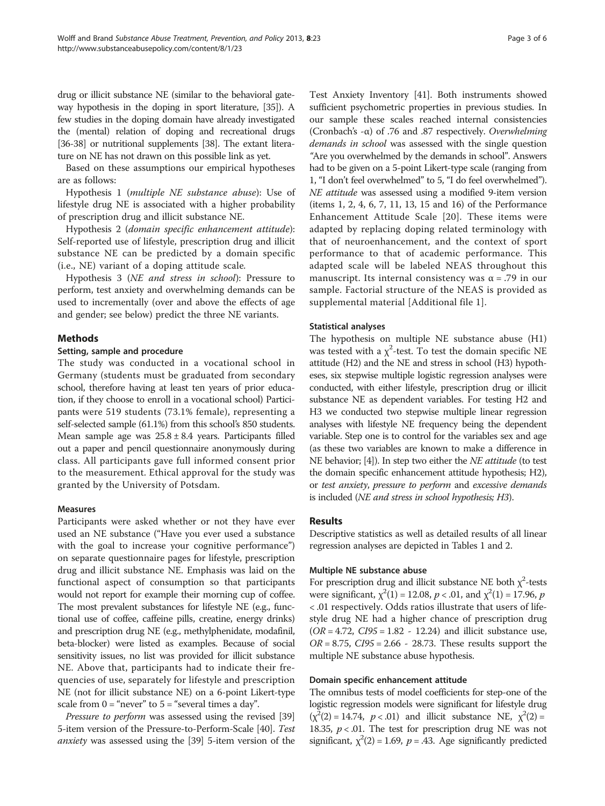drug or illicit substance NE (similar to the behavioral gateway hypothesis in the doping in sport literature, [\[35](#page-5-0)]). A few studies in the doping domain have already investigated the (mental) relation of doping and recreational drugs [[36](#page-5-0)-[38\]](#page-5-0) or nutritional supplements [\[38](#page-5-0)]. The extant literature on NE has not drawn on this possible link as yet.

Based on these assumptions our empirical hypotheses are as follows:

Hypothesis 1 (multiple NE substance abuse): Use of lifestyle drug NE is associated with a higher probability of prescription drug and illicit substance NE.

Hypothesis 2 (domain specific enhancement attitude): Self-reported use of lifestyle, prescription drug and illicit substance NE can be predicted by a domain specific (i.e., NE) variant of a doping attitude scale.

Hypothesis 3 (NE and stress in school): Pressure to perform, test anxiety and overwhelming demands can be used to incrementally (over and above the effects of age and gender; see below) predict the three NE variants.

## Methods

#### Setting, sample and procedure

The study was conducted in a vocational school in Germany (students must be graduated from secondary school, therefore having at least ten years of prior education, if they choose to enroll in a vocational school) Participants were 519 students (73.1% female), representing a self-selected sample (61.1%) from this school's 850 students. Mean sample age was  $25.8 \pm 8.4$  years. Participants filled out a paper and pencil questionnaire anonymously during class. All participants gave full informed consent prior to the measurement. Ethical approval for the study was granted by the University of Potsdam.

#### Measures

Participants were asked whether or not they have ever used an NE substance ("Have you ever used a substance with the goal to increase your cognitive performance") on separate questionnaire pages for lifestyle, prescription drug and illicit substance NE. Emphasis was laid on the functional aspect of consumption so that participants would not report for example their morning cup of coffee. The most prevalent substances for lifestyle NE (e.g., functional use of coffee, caffeine pills, creatine, energy drinks) and prescription drug NE (e.g., methylphenidate, modafinil, beta-blocker) were listed as examples. Because of social sensitivity issues, no list was provided for illicit substance NE. Above that, participants had to indicate their frequencies of use, separately for lifestyle and prescription NE (not for illicit substance NE) on a 6-point Likert-type scale from  $0 =$  "never" to  $5 =$  "several times a day".

Pressure to perform was assessed using the revised [[39](#page-5-0)] 5-item version of the Pressure-to-Perform-Scale [[40\]](#page-5-0). Test anxiety was assessed using the [\[39\]](#page-5-0) 5-item version of the

Test Anxiety Inventory [[41](#page-5-0)]. Both instruments showed sufficient psychometric properties in previous studies. In our sample these scales reached internal consistencies (Cronbach's -α) of .76 and .87 respectively. Overwhelming demands in school was assessed with the single question "Are you overwhelmed by the demands in school". Answers had to be given on a 5-point Likert-type scale (ranging from 1, "I don't feel overwhelmed" to 5, "I do feel overwhelmed"). NE attitude was assessed using a modified 9-item version (items 1, 2, 4, 6, 7, 11, 13, 15 and 16) of the Performance Enhancement Attitude Scale [[20](#page-5-0)]. These items were adapted by replacing doping related terminology with that of neuroenhancement, and the context of sport performance to that of academic performance. This adapted scale will be labeled NEAS throughout this manuscript. Its internal consistency was  $\alpha$  = .79 in our sample. Factorial structure of the NEAS is provided as supplemental material [Additional file [1\]](#page-4-0).

#### Statistical analyses

The hypothesis on multiple NE substance abuse (H1) was tested with a  $\chi^2$ -test. To test the domain specific NE attitude (H2) and the NE and stress in school (H3) hypotheses, six stepwise multiple logistic regression analyses were conducted, with either lifestyle, prescription drug or illicit substance NE as dependent variables. For testing H2 and H3 we conducted two stepwise multiple linear regression analyses with lifestyle NE frequency being the dependent variable. Step one is to control for the variables sex and age (as these two variables are known to make a difference in NE behavior; [\[4\]](#page-4-0)). In step two either the *NE attitude* (to test the domain specific enhancement attitude hypothesis; H2), or test anxiety, pressure to perform and excessive demands is included (NE and stress in school hypothesis; H3).

## Results

Descriptive statistics as well as detailed results of all linear regression analyses are depicted in Tables [1](#page-3-0) and [2](#page-3-0).

#### Multiple NE substance abuse

For prescription drug and illicit substance NE both  $\chi^2$ -tests were significant,  $\chi^2(1) = 12.08$ ,  $p < .01$ , and  $\chi^2(1) = 17.96$ ,  $p$ < .01 respectively. Odds ratios illustrate that users of lifestyle drug NE had a higher chance of prescription drug  $(OR = 4.72, CI95 = 1.82 - 12.24)$  and illicit substance use,  $OR = 8.75$ ,  $CI95 = 2.66 - 28.73$ . These results support the multiple NE substance abuse hypothesis.

#### Domain specific enhancement attitude

The omnibus tests of model coefficients for step-one of the logistic regression models were significant for lifestyle drug  $(\chi^2(2) = 14.74, p < .01)$  and illicit substance NE,  $\chi^2(2) =$ 18.35,  $p < 0.01$ . The test for prescription drug NE was not significant,  $\chi^2(2) = 1.69$ ,  $p = .43$ . Age significantly predicted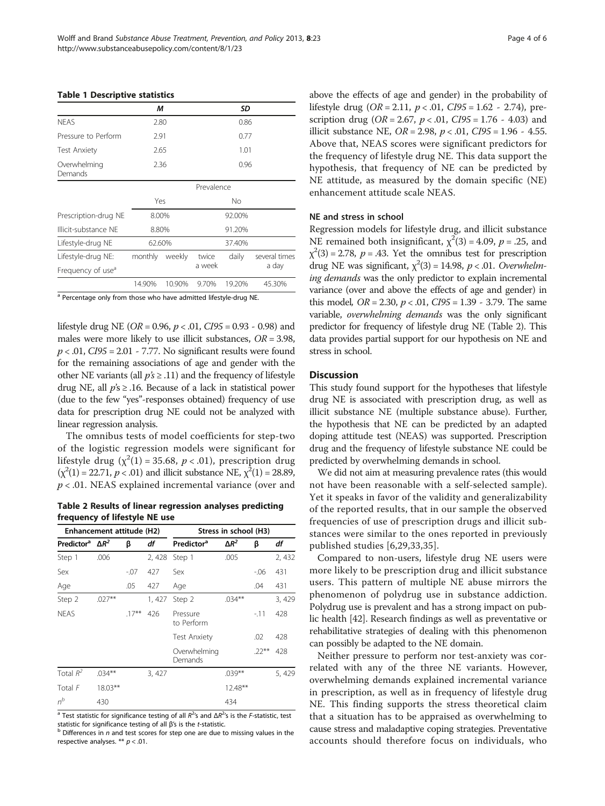|                               | М          |        | SD     |        |               |  |
|-------------------------------|------------|--------|--------|--------|---------------|--|
| <b>NFAS</b>                   | 2.80       |        | 0.86   |        |               |  |
| Pressure to Perform           | 2.91       |        | 0.77   |        |               |  |
| <b>Test Anxiety</b>           | 2.65       |        | 1.01   |        |               |  |
| Overwhelming<br>Demands       | 2.36       |        | 0.96   |        |               |  |
|                               | Prevalence |        |        |        |               |  |
|                               | Yes        |        |        | No     |               |  |
| Prescription-drug NE          | 8.00%      |        |        | 92.00% |               |  |
| Illicit-substance NF          | 8.80%      |        | 91.20% |        |               |  |
| Lifestyle-drug NE             | 62.60%     |        | 37.40% |        |               |  |
| Lifestyle-drug NE:            | monthly    | weekly | twice  | daily  | several times |  |
| Frequency of use <sup>a</sup> |            |        | a week |        | a day         |  |
|                               | 14.90%     | 10.90% | 9.70%  | 19.20% | 45.30%        |  |
|                               |            |        |        |        |               |  |

#### <span id="page-3-0"></span>Table 1 Descriptive statistics

a Percentage only from those who have admitted lifestyle-drug NE.

lifestyle drug NE (*OR* = 0.96,  $p < .01$ , *CI*95 = 0.93 - 0.98) and males were more likely to use illicit substances,  $OR = 3.98$ ,  $p < .01$ , CI95 = 2.01 - 7.77. No significant results were found for the remaining associations of age and gender with the other NE variants (all  $p's \geq .11$ ) and the frequency of lifestyle drug NE, all  $p's \ge 0.16$ . Because of a lack in statistical power (due to the few "yes"-responses obtained) frequency of use data for prescription drug NE could not be analyzed with linear regression analysis.

The omnibus tests of model coefficients for step-two of the logistic regression models were significant for lifestyle drug ( $\chi^2(1)$  = 35.68,  $p < .01$ ), prescription drug  $(\chi^2(1) = 22.71, p < .01)$  and illicit substance NE,  $\chi^2(1) = 28.89$ ,  $p < .01$ . NEAS explained incremental variance (over and

Table 2 Results of linear regression analyses predicting frequency of lifestyle NE use

| Enhancement attitude (H2)           |            |          |        | Stress in school (H3)   |              |          |        |  |  |
|-------------------------------------|------------|----------|--------|-------------------------|--------------|----------|--------|--|--|
| Predictor <sup>a</sup> $\Delta R^2$ |            | β        | df     | Predictor <sup>a</sup>  | $\Delta R^2$ | β        | df     |  |  |
| Step 1                              | .006       |          | 2, 428 | Step 1                  | .005         |          | 2,432  |  |  |
| Sex                                 |            | $-.07$   | 427    | Sex                     |              | -.06     | 431    |  |  |
| Age                                 |            | .05      | 427    | Age                     |              | .04      | 431    |  |  |
| Step 2                              | $.027**$   |          |        | 1, 427 Step 2           | $.034***$    |          | 3, 429 |  |  |
| <b>NEAS</b>                         |            | $.17***$ | 426    | Pressure<br>to Perform  |              | $-11$    | 428    |  |  |
|                                     |            |          |        | <b>Test Anxiety</b>     |              | .02      | 428    |  |  |
|                                     |            |          |        | Overwhelming<br>Demands |              | $.22***$ | 428    |  |  |
| Total $R^2$                         | $.034***$  |          | 3, 427 |                         | $.039***$    |          | 5, 429 |  |  |
| Total F                             | $18.03***$ |          |        |                         | $12.48***$   |          |        |  |  |
| $n^b$                               | 430        |          |        |                         | 434          |          |        |  |  |

<sup>a</sup> Test statistic for significance testing of all  $R^2$ 's and  $\Delta R^2$ 's is the F-statistic, test statistic for significance testing of all  $\beta$ 's is the t-statistic.<br><sup>b</sup> Differences in n and test scores for step one are due to missing values in the

respective analyses. \*\*  $p < .01$ .

above the effects of age and gender) in the probability of lifestyle drug (OR = 2.11,  $p < 0.01$ , CI95 = 1.62 - 2.74), prescription drug (OR = 2.67,  $p < 0.01$ , CI95 = 1.76 - 4.03) and illicit substance NE,  $OR = 2.98$ ,  $p < .01$ ,  $CI95 = 1.96 - 4.55$ . Above that, NEAS scores were significant predictors for the frequency of lifestyle drug NE. This data support the hypothesis, that frequency of NE can be predicted by NE attitude, as measured by the domain specific (NE) enhancement attitude scale NEAS.

#### NE and stress in school

Regression models for lifestyle drug, and illicit substance NE remained both insignificant,  $\chi^2(3) = 4.09$ ,  $p = .25$ , and  $\chi^2(3) = 2.78$ ,  $p = .43$ . Yet the omnibus test for prescription drug NE was significant,  $\chi^2(3) = 14.98$ ,  $p < .01$ . Overwhelming demands was the only predictor to explain incremental variance (over and above the effects of age and gender) in this model,  $OR = 2.30$ ,  $p < .01$ ,  $CI95 = 1.39 - .379$ . The same variable, overwhelming demands was the only significant predictor for frequency of lifestyle drug NE (Table 2). This data provides partial support for our hypothesis on NE and stress in school.

#### **Discussion**

This study found support for the hypotheses that lifestyle drug NE is associated with prescription drug, as well as illicit substance NE (multiple substance abuse). Further, the hypothesis that NE can be predicted by an adapted doping attitude test (NEAS) was supported. Prescription drug and the frequency of lifestyle substance NE could be predicted by overwhelming demands in school.

We did not aim at measuring prevalence rates (this would not have been reasonable with a self-selected sample). Yet it speaks in favor of the validity and generalizability of the reported results, that in our sample the observed frequencies of use of prescription drugs and illicit substances were similar to the ones reported in previously published studies [[6](#page-5-0),[29,33](#page-5-0),[35\]](#page-5-0).

Compared to non-users, lifestyle drug NE users were more likely to be prescription drug and illicit substance users. This pattern of multiple NE abuse mirrors the phenomenon of polydrug use in substance addiction. Polydrug use is prevalent and has a strong impact on public health [\[42\]](#page-5-0). Research findings as well as preventative or rehabilitative strategies of dealing with this phenomenon can possibly be adapted to the NE domain.

Neither pressure to perform nor test-anxiety was correlated with any of the three NE variants. However, overwhelming demands explained incremental variance in prescription, as well as in frequency of lifestyle drug NE. This finding supports the stress theoretical claim that a situation has to be appraised as overwhelming to cause stress and maladaptive coping strategies. Preventative accounts should therefore focus on individuals, who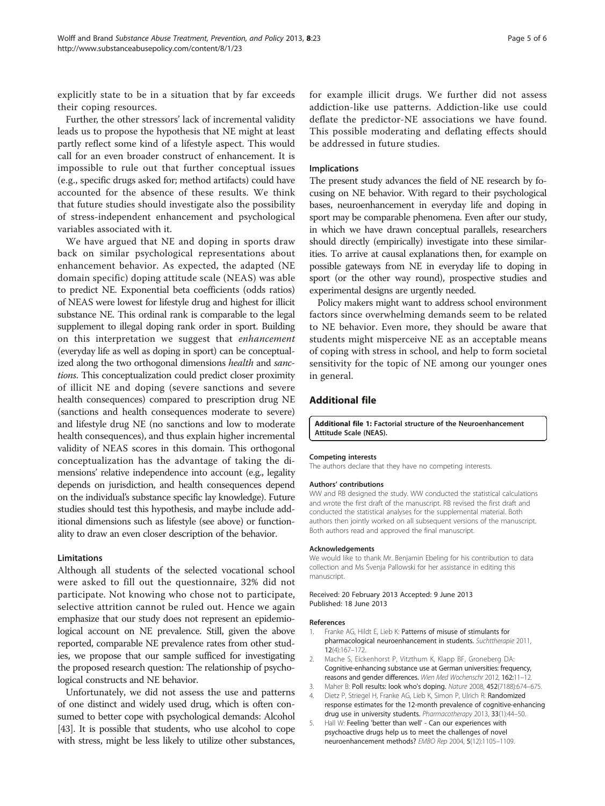<span id="page-4-0"></span>explicitly state to be in a situation that by far exceeds their coping resources.

Further, the other stressors' lack of incremental validity leads us to propose the hypothesis that NE might at least partly reflect some kind of a lifestyle aspect. This would call for an even broader construct of enhancement. It is impossible to rule out that further conceptual issues (e.g., specific drugs asked for; method artifacts) could have accounted for the absence of these results. We think that future studies should investigate also the possibility of stress-independent enhancement and psychological variables associated with it.

We have argued that NE and doping in sports draw back on similar psychological representations about enhancement behavior. As expected, the adapted (NE domain specific) doping attitude scale (NEAS) was able to predict NE. Exponential beta coefficients (odds ratios) of NEAS were lowest for lifestyle drug and highest for illicit substance NE. This ordinal rank is comparable to the legal supplement to illegal doping rank order in sport. Building on this interpretation we suggest that enhancement (everyday life as well as doping in sport) can be conceptualized along the two orthogonal dimensions health and sanctions. This conceptualization could predict closer proximity of illicit NE and doping (severe sanctions and severe health consequences) compared to prescription drug NE (sanctions and health consequences moderate to severe) and lifestyle drug NE (no sanctions and low to moderate health consequences), and thus explain higher incremental validity of NEAS scores in this domain. This orthogonal conceptualization has the advantage of taking the dimensions' relative independence into account (e.g., legality depends on jurisdiction, and health consequences depend on the individual's substance specific lay knowledge). Future studies should test this hypothesis, and maybe include additional dimensions such as lifestyle (see above) or functionality to draw an even closer description of the behavior.

#### Limitations

Although all students of the selected vocational school were asked to fill out the questionnaire, 32% did not participate. Not knowing who chose not to participate, selective attrition cannot be ruled out. Hence we again emphasize that our study does not represent an epidemiological account on NE prevalence. Still, given the above reported, comparable NE prevalence rates from other studies, we propose that our sample sufficed for investigating the proposed research question: The relationship of psychological constructs and NE behavior.

Unfortunately, we did not assess the use and patterns of one distinct and widely used drug, which is often consumed to better cope with psychological demands: Alcohol [[43](#page-5-0)]. It is possible that students, who use alcohol to cope with stress, might be less likely to utilize other substances, for example illicit drugs. We further did not assess addiction-like use patterns. Addiction-like use could deflate the predictor-NE associations we have found. This possible moderating and deflating effects should be addressed in future studies.

#### Implications

The present study advances the field of NE research by focusing on NE behavior. With regard to their psychological bases, neuroenhancement in everyday life and doping in sport may be comparable phenomena. Even after our study, in which we have drawn conceptual parallels, researchers should directly (empirically) investigate into these similarities. To arrive at causal explanations then, for example on possible gateways from NE in everyday life to doping in sport (or the other way round), prospective studies and experimental designs are urgently needed.

Policy makers might want to address school environment factors since overwhelming demands seem to be related to NE behavior. Even more, they should be aware that students might misperceive NE as an acceptable means of coping with stress in school, and help to form societal sensitivity for the topic of NE among our younger ones in general.

#### Additional file

[Additional file 1:](http://www.biomedcentral.com/content/supplementary/1747-597X-8-23-S1.docx) Factorial structure of the Neuroenhancement Attitude Scale (NEAS).

#### Competing interests

The authors declare that they have no competing interests.

#### Authors' contributions

WW and RB designed the study. WW conducted the statistical calculations and wrote the first draft of the manuscript. RB revised the first draft and conducted the statistical analyses for the supplemental material. Both authors then jointly worked on all subsequent versions of the manuscript. Both authors read and approved the final manuscript.

#### Acknowledgements

We would like to thank Mr. Benjamin Ebeling for his contribution to data collection and Ms Svenja Pallowski for her assistance in editing this manuscript.

Received: 20 February 2013 Accepted: 9 June 2013 Published: 18 June 2013

#### References

- 1. Franke AG, Hildt E, Lieb K: Patterns of misuse of stimulants for pharmacological neuroenhancement in students. Suchttherapie 2011, 12(4):167–172.
- 2. Mache S, Eickenhorst P, Vitzthum K, Klapp BF, Groneberg DA: Cognitive-enhancing substance use at German universities: frequency, reasons and gender differences. Wien Med Wochenschr 2012, 162:11–12.
- 3. Maher B: Poll results: look who's doping. Nature 2008, 452(7188):674–675.
- 4. Dietz P, Striegel H, Franke AG, Lieb K, Simon P, Ulrich R: Randomized response estimates for the 12-month prevalence of cognitive-enhancing drug use in university students. Pharmacotherapy 2013, 33(1):44–50.
- 5. Hall W: Feeling 'better than well' Can our experiences with psychoactive drugs help us to meet the challenges of novel neuroenhancement methods? EMBO Rep 2004, 5(12):1105–1109.